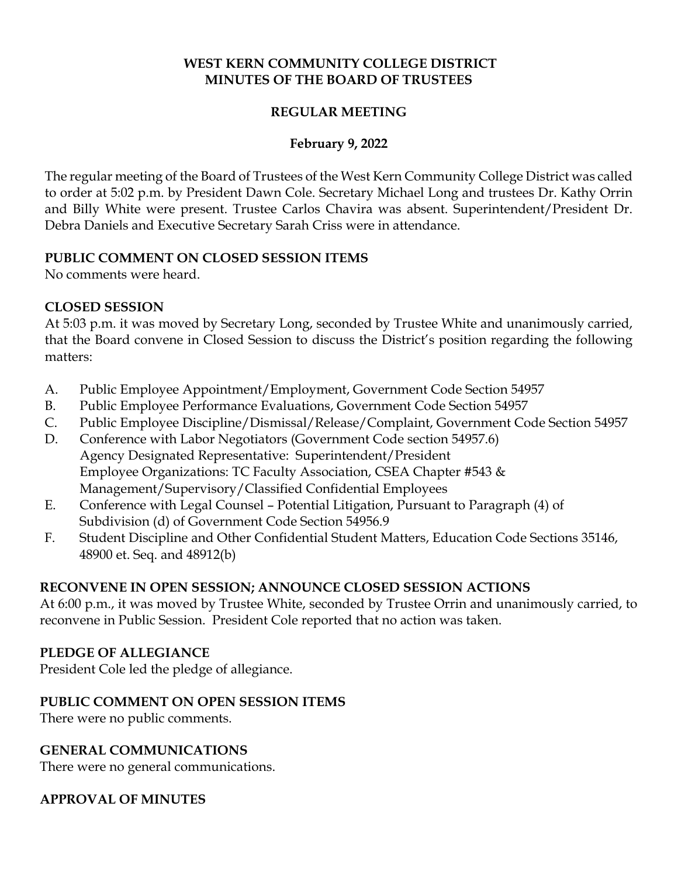# **WEST KERN COMMUNITY COLLEGE DISTRICT MINUTES OF THE BOARD OF TRUSTEES**

# **REGULAR MEETING**

### **February 9, 2022**

The regular meeting of the Board of Trustees of the West Kern Community College District was called to order at 5:02 p.m. by President Dawn Cole. Secretary Michael Long and trustees Dr. Kathy Orrin and Billy White were present. Trustee Carlos Chavira was absent. Superintendent/President Dr. Debra Daniels and Executive Secretary Sarah Criss were in attendance.

### **PUBLIC COMMENT ON CLOSED SESSION ITEMS**

No comments were heard.

### **CLOSED SESSION**

At 5:03 p.m. it was moved by Secretary Long, seconded by Trustee White and unanimously carried, that the Board convene in Closed Session to discuss the District's position regarding the following matters:

- A. Public Employee Appointment/Employment, Government Code Section 54957
- B. Public Employee Performance Evaluations, Government Code Section 54957
- C. Public Employee Discipline/Dismissal/Release/Complaint, Government Code Section 54957
- D. Conference with Labor Negotiators (Government Code section 54957.6) Agency Designated Representative: Superintendent/President Employee Organizations: TC Faculty Association, CSEA Chapter #543 & Management/Supervisory/Classified Confidential Employees
- E. Conference with Legal Counsel Potential Litigation, Pursuant to Paragraph (4) of Subdivision (d) of Government Code Section 54956.9
- F. Student Discipline and Other Confidential Student Matters, Education Code Sections 35146, 48900 et. Seq. and 48912(b)

# **RECONVENE IN OPEN SESSION; ANNOUNCE CLOSED SESSION ACTIONS**

At 6:00 p.m., it was moved by Trustee White, seconded by Trustee Orrin and unanimously carried, to reconvene in Public Session. President Cole reported that no action was taken.

#### **PLEDGE OF ALLEGIANCE**

President Cole led the pledge of allegiance.

#### **PUBLIC COMMENT ON OPEN SESSION ITEMS**

There were no public comments.

# **GENERAL COMMUNICATIONS**

There were no general communications.

# **APPROVAL OF MINUTES**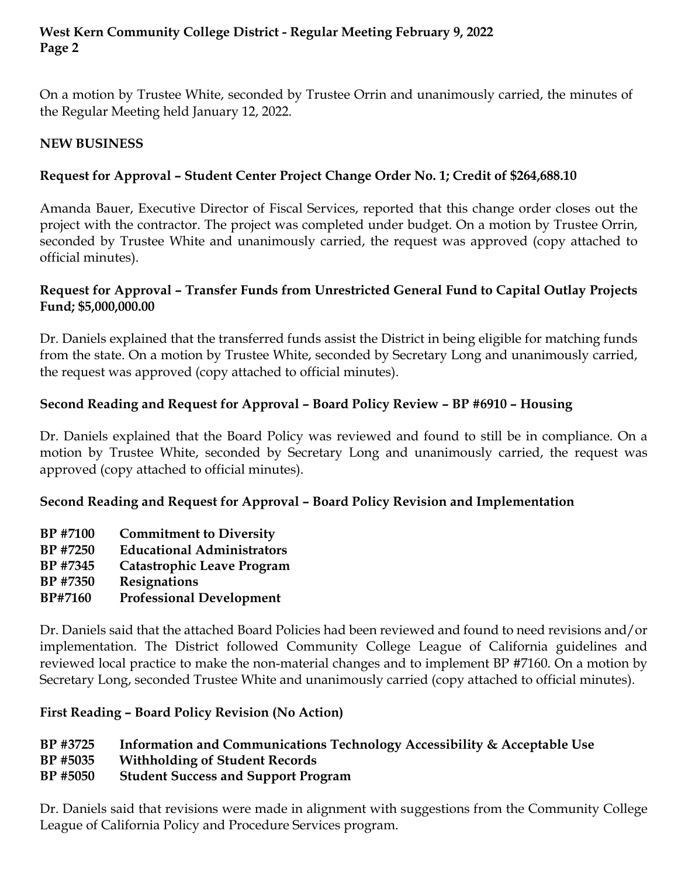On a motion by Trustee White, seconded by Trustee Orrin and unanimously carried, the minutes of the Regular Meeting held January 12, 2022.

# **NEW BUSINESS**

# **Request for Approval – Student Center Project Change Order No. 1; Credit of \$264,688.10**

Amanda Bauer, Executive Director of Fiscal Services, reported that this change order closes out the project with the contractor. The project was completed under budget. On a motion by Trustee Orrin, seconded by Trustee White and unanimously carried, the request was approved (copy attached to official minutes).

# **Request for Approval – Transfer Funds from Unrestricted General Fund to Capital Outlay Projects Fund; \$5,000,000.00**

Dr. Daniels explained that the transferred funds assist the District in being eligible for matching funds from the state. On a motion by Trustee White, seconded by Secretary Long and unanimously carried, the request was approved (copy attached to official minutes).

# **Second Reading and Request for Approval – Board Policy Review – BP #6910 – Housing**

Dr. Daniels explained that the Board Policy was reviewed and found to still be in compliance. On a motion by Trustee White, seconded by Secretary Long and unanimously carried, the request was approved (copy attached to official minutes).

# **Second Reading and Request for Approval – Board Policy Revision and Implementation**

- **BP #7100 Commitment to Diversity**
- **BP #7250 Educational Administrators**
- **BP #7345 Catastrophic Leave Program**
- **BP #7350 Resignations**
- **BP#7160 Professional Development**

Dr. Daniels said that the attached Board Policies had been reviewed and found to need revisions and/or implementation. The District followed Community College League of California guidelines and reviewed local practice to make the non-material changes and to implement BP #7160. On a motion by Secretary Long, seconded Trustee White and unanimously carried (copy attached to official minutes).

# **First Reading – Board Policy Revision (No Action)**

# **BP #3725 Information and Communications Technology Accessibility & Acceptable Use**

- **BP #5035 Withholding of Student Records**
- **BP #5050 Student Success and Support Program**

Dr. Daniels said that revisions were made in alignment with suggestions from the Community College League of California Policy and Procedure Services program.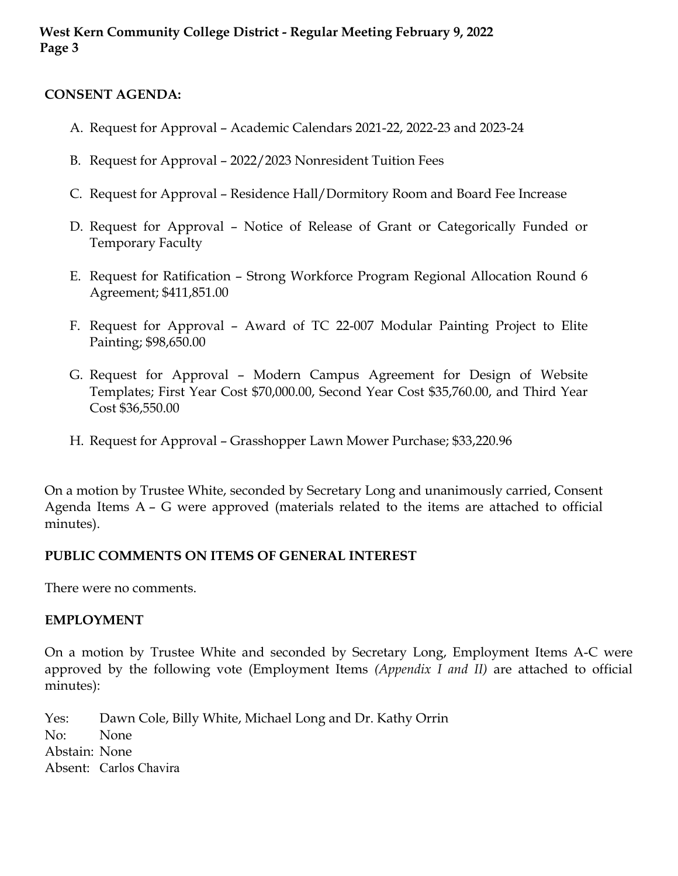#### **CONSENT AGENDA:**

- A. Request for Approval Academic Calendars 2021-22, 2022-23 and 2023-24
- B. Request for Approval 2022/2023 Nonresident Tuition Fees
- C. Request for Approval Residence Hall/Dormitory Room and Board Fee Increase
- D. Request for Approval Notice of Release of Grant or Categorically Funded or Temporary Faculty
- E. Request for Ratification Strong Workforce Program Regional Allocation Round 6 Agreement; \$411,851.00
- F. Request for Approval Award of TC 22-007 Modular Painting Project to Elite Painting; \$98,650.00
- G. Request for Approval Modern Campus Agreement for Design of Website Templates; First Year Cost \$70,000.00, Second Year Cost \$35,760.00, and Third Year Cost \$36,550.00
- H. Request for Approval Grasshopper Lawn Mower Purchase; \$33,220.96

On a motion by Trustee White, seconded by Secretary Long and unanimously carried, Consent Agenda Items A – G were approved (materials related to the items are attached to official minutes).

# **PUBLIC COMMENTS ON ITEMS OF GENERAL INTEREST**

There were no comments.

#### **EMPLOYMENT**

On a motion by Trustee White and seconded by Secretary Long, Employment Items A-C were approved by the following vote (Employment Items *(Appendix I and II)* are attached to official minutes):

Yes: Dawn Cole, Billy White, Michael Long and Dr. Kathy Orrin No: None Abstain: None Absent: Carlos Chavira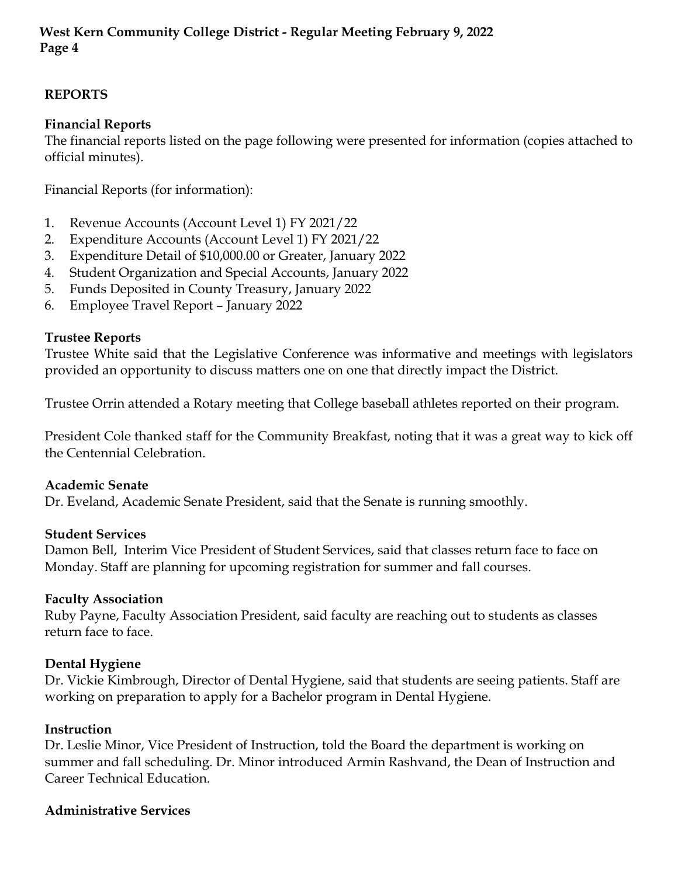# **REPORTS**

# **Financial Reports**

The financial reports listed on the page following were presented for information (copies attached to official minutes).

Financial Reports (for information):

- 1. Revenue Accounts (Account Level 1) FY 2021/22
- 2. Expenditure Accounts (Account Level 1) FY 2021/22
- 3. Expenditure Detail of \$10,000.00 or Greater, January 2022
- 4. Student Organization and Special Accounts, January 2022
- 5. Funds Deposited in County Treasury, January 2022
- 6. Employee Travel Report January 2022

# **Trustee Reports**

Trustee White said that the Legislative Conference was informative and meetings with legislators provided an opportunity to discuss matters one on one that directly impact the District.

Trustee Orrin attended a Rotary meeting that College baseball athletes reported on their program.

President Cole thanked staff for the Community Breakfast, noting that it was a great way to kick off the Centennial Celebration.

#### **Academic Senate**

Dr. Eveland, Academic Senate President, said that the Senate is running smoothly.

#### **Student Services**

Damon Bell, Interim Vice President of Student Services, said that classes return face to face on Monday. Staff are planning for upcoming registration for summer and fall courses.

# **Faculty Association**

Ruby Payne, Faculty Association President, said faculty are reaching out to students as classes return face to face.

# **Dental Hygiene**

Dr. Vickie Kimbrough, Director of Dental Hygiene, said that students are seeing patients. Staff are working on preparation to apply for a Bachelor program in Dental Hygiene.

#### **Instruction**

Dr. Leslie Minor, Vice President of Instruction, told the Board the department is working on summer and fall scheduling. Dr. Minor introduced Armin Rashvand, the Dean of Instruction and Career Technical Education.

#### **Administrative Services**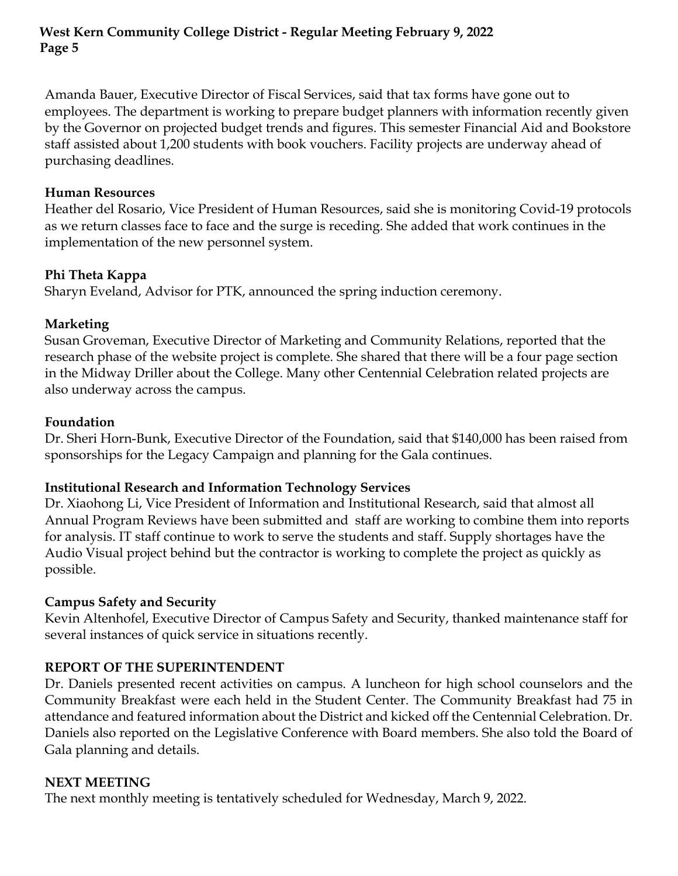Amanda Bauer, Executive Director of Fiscal Services, said that tax forms have gone out to employees. The department is working to prepare budget planners with information recently given by the Governor on projected budget trends and figures. This semester Financial Aid and Bookstore staff assisted about 1,200 students with book vouchers. Facility projects are underway ahead of purchasing deadlines.

### **Human Resources**

Heather del Rosario, Vice President of Human Resources, said she is monitoring Covid-19 protocols as we return classes face to face and the surge is receding. She added that work continues in the implementation of the new personnel system.

# **Phi Theta Kappa**

Sharyn Eveland, Advisor for PTK, announced the spring induction ceremony.

# **Marketing**

Susan Groveman, Executive Director of Marketing and Community Relations, reported that the research phase of the website project is complete. She shared that there will be a four page section in the Midway Driller about the College. Many other Centennial Celebration related projects are also underway across the campus.

# **Foundation**

Dr. Sheri Horn-Bunk, Executive Director of the Foundation, said that \$140,000 has been raised from sponsorships for the Legacy Campaign and planning for the Gala continues.

# **Institutional Research and Information Technology Services**

Dr. Xiaohong Li, Vice President of Information and Institutional Research, said that almost all Annual Program Reviews have been submitted and staff are working to combine them into reports for analysis. IT staff continue to work to serve the students and staff. Supply shortages have the Audio Visual project behind but the contractor is working to complete the project as quickly as possible.

# **Campus Safety and Security**

Kevin Altenhofel, Executive Director of Campus Safety and Security, thanked maintenance staff for several instances of quick service in situations recently.

# **REPORT OF THE SUPERINTENDENT**

Dr. Daniels presented recent activities on campus. A luncheon for high school counselors and the Community Breakfast were each held in the Student Center. The Community Breakfast had 75 in attendance and featured information about the District and kicked off the Centennial Celebration. Dr. Daniels also reported on the Legislative Conference with Board members. She also told the Board of Gala planning and details.

# **NEXT MEETING**

The next monthly meeting is tentatively scheduled for Wednesday, March 9, 2022.